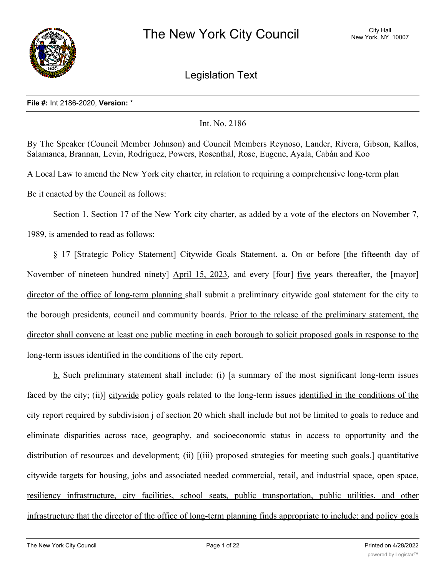

Legislation Text

## **File #:** Int 2186-2020, **Version:** \*

# Int. No. 2186

By The Speaker (Council Member Johnson) and Council Members Reynoso, Lander, Rivera, Gibson, Kallos, Salamanca, Brannan, Levin, Rodriguez, Powers, Rosenthal, Rose, Eugene, Ayala, Cabán and Koo

A Local Law to amend the New York city charter, in relation to requiring a comprehensive long-term plan

Be it enacted by the Council as follows:

Section 1. Section 17 of the New York city charter, as added by a vote of the electors on November 7, 1989, is amended to read as follows:

§ 17 [Strategic Policy Statement] Citywide Goals Statement. a. On or before [the fifteenth day of November of nineteen hundred ninety] April 15, 2023, and every [four] five years thereafter, the [mayor] director of the office of long-term planning shall submit a preliminary citywide goal statement for the city to the borough presidents, council and community boards. Prior to the release of the preliminary statement, the director shall convene at least one public meeting in each borough to solicit proposed goals in response to the long-term issues identified in the conditions of the city report.

b. Such preliminary statement shall include: (i) [a summary of the most significant long-term issues faced by the city; (ii)] citywide policy goals related to the long-term issues identified in the conditions of the city report required by subdivision j of section 20 which shall include but not be limited to goals to reduce and eliminate disparities across race, geography, and socioeconomic status in access to opportunity and the distribution of resources and development; (ii) [(iii) proposed strategies for meeting such goals.] quantitative citywide targets for housing, jobs and associated needed commercial, retail, and industrial space, open space, resiliency infrastructure, city facilities, school seats, public transportation, public utilities, and other infrastructure that the director of the office of long-term planning finds appropriate to include; and policy goals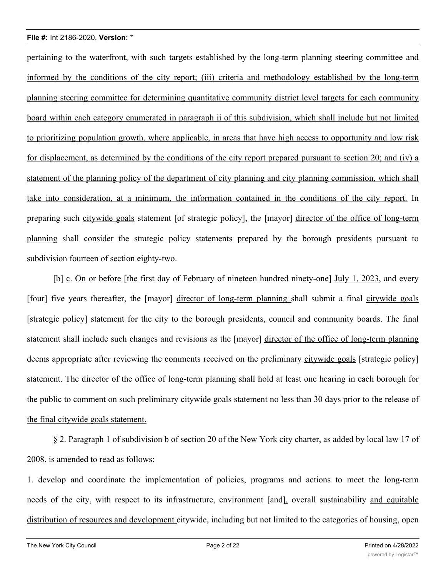pertaining to the waterfront, with such targets established by the long-term planning steering committee and informed by the conditions of the city report; (iii) criteria and methodology established by the long-term planning steering committee for determining quantitative community district level targets for each community board within each category enumerated in paragraph ii of this subdivision, which shall include but not limited to prioritizing population growth, where applicable, in areas that have high access to opportunity and low risk for displacement, as determined by the conditions of the city report prepared pursuant to section 20; and (iv) a statement of the planning policy of the department of city planning and city planning commission, which shall take into consideration, at a minimum, the information contained in the conditions of the city report. In preparing such citywide goals statement [of strategic policy], the [mayor] director of the office of long-term planning shall consider the strategic policy statements prepared by the borough presidents pursuant to subdivision fourteen of section eighty-two.

[b] c. On or before [the first day of February of nineteen hundred ninety-one] July 1, 2023, and every [four] five years thereafter, the [mayor] director of long-term planning shall submit a final citywide goals [strategic policy] statement for the city to the borough presidents, council and community boards. The final statement shall include such changes and revisions as the [mayor] director of the office of long-term planning deems appropriate after reviewing the comments received on the preliminary citywide goals [strategic policy] statement. The director of the office of long-term planning shall hold at least one hearing in each borough for the public to comment on such preliminary citywide goals statement no less than 30 days prior to the release of the final citywide goals statement.

§ 2. Paragraph 1 of subdivision b of section 20 of the New York city charter, as added by local law 17 of 2008, is amended to read as follows:

1. develop and coordinate the implementation of policies, programs and actions to meet the long-term needs of the city, with respect to its infrastructure, environment [and], overall sustainability and equitable distribution of resources and development citywide, including but not limited to the categories of housing, open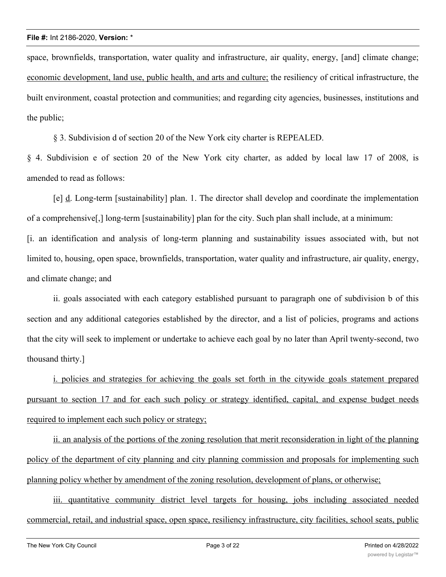space, brownfields, transportation, water quality and infrastructure, air quality, energy, [and] climate change; economic development, land use, public health, and arts and culture; the resiliency of critical infrastructure, the built environment, coastal protection and communities; and regarding city agencies, businesses, institutions and the public;

§ 3. Subdivision d of section 20 of the New York city charter is REPEALED.

§ 4. Subdivision e of section 20 of the New York city charter, as added by local law 17 of 2008, is amended to read as follows:

[e] d. Long-term [sustainability] plan. 1. The director shall develop and coordinate the implementation of a comprehensive[,] long-term [sustainability] plan for the city. Such plan shall include, at a minimum: [i. an identification and analysis of long-term planning and sustainability issues associated with, but not limited to, housing, open space, brownfields, transportation, water quality and infrastructure, air quality, energy, and climate change; and

ii. goals associated with each category established pursuant to paragraph one of subdivision b of this section and any additional categories established by the director, and a list of policies, programs and actions that the city will seek to implement or undertake to achieve each goal by no later than April twenty-second, two thousand thirty.]

i. policies and strategies for achieving the goals set forth in the citywide goals statement prepared pursuant to section 17 and for each such policy or strategy identified, capital, and expense budget needs required to implement each such policy or strategy;

ii. an analysis of the portions of the zoning resolution that merit reconsideration in light of the planning policy of the department of city planning and city planning commission and proposals for implementing such planning policy whether by amendment of the zoning resolution, development of plans, or otherwise;

iii. quantitative community district level targets for housing, jobs including associated needed commercial, retail, and industrial space, open space, resiliency infrastructure, city facilities, school seats, public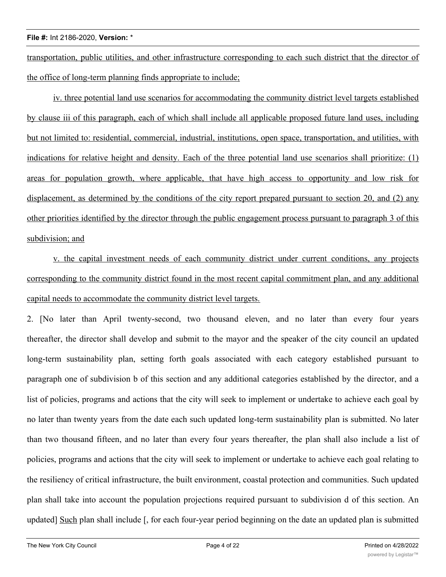transportation, public utilities, and other infrastructure corresponding to each such district that the director of the office of long-term planning finds appropriate to include;

iv. three potential land use scenarios for accommodating the community district level targets established by clause iii of this paragraph, each of which shall include all applicable proposed future land uses, including but not limited to: residential, commercial, industrial, institutions, open space, transportation, and utilities, with indications for relative height and density. Each of the three potential land use scenarios shall prioritize: (1) areas for population growth, where applicable, that have high access to opportunity and low risk for displacement, as determined by the conditions of the city report prepared pursuant to section 20, and (2) any other priorities identified by the director through the public engagement process pursuant to paragraph 3 of this subdivision; and

v. the capital investment needs of each community district under current conditions, any projects corresponding to the community district found in the most recent capital commitment plan, and any additional capital needs to accommodate the community district level targets.

2. [No later than April twenty-second, two thousand eleven, and no later than every four years thereafter, the director shall develop and submit to the mayor and the speaker of the city council an updated long-term sustainability plan, setting forth goals associated with each category established pursuant to paragraph one of subdivision b of this section and any additional categories established by the director, and a list of policies, programs and actions that the city will seek to implement or undertake to achieve each goal by no later than twenty years from the date each such updated long-term sustainability plan is submitted. No later than two thousand fifteen, and no later than every four years thereafter, the plan shall also include a list of policies, programs and actions that the city will seek to implement or undertake to achieve each goal relating to the resiliency of critical infrastructure, the built environment, coastal protection and communities. Such updated plan shall take into account the population projections required pursuant to subdivision d of this section. An updated] Such plan shall include [, for each four-year period beginning on the date an updated plan is submitted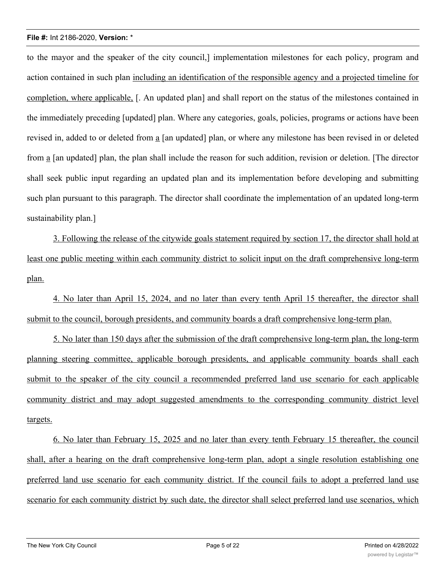to the mayor and the speaker of the city council,] implementation milestones for each policy, program and action contained in such plan including an identification of the responsible agency and a projected timeline for completion, where applicable, [. An updated plan] and shall report on the status of the milestones contained in the immediately preceding [updated] plan. Where any categories, goals, policies, programs or actions have been revised in, added to or deleted from a [an updated] plan, or where any milestone has been revised in or deleted from a [an updated] plan, the plan shall include the reason for such addition, revision or deletion. [The director shall seek public input regarding an updated plan and its implementation before developing and submitting such plan pursuant to this paragraph. The director shall coordinate the implementation of an updated long-term sustainability plan.]

3. Following the release of the citywide goals statement required by section 17, the director shall hold at least one public meeting within each community district to solicit input on the draft comprehensive long-term plan.

4. No later than April 15, 2024, and no later than every tenth April 15 thereafter, the director shall submit to the council, borough presidents, and community boards a draft comprehensive long-term plan.

5. No later than 150 days after the submission of the draft comprehensive long-term plan, the long-term planning steering committee, applicable borough presidents, and applicable community boards shall each submit to the speaker of the city council a recommended preferred land use scenario for each applicable community district and may adopt suggested amendments to the corresponding community district level targets.

6. No later than February 15, 2025 and no later than every tenth February 15 thereafter, the council shall, after a hearing on the draft comprehensive long-term plan, adopt a single resolution establishing one preferred land use scenario for each community district. If the council fails to adopt a preferred land use scenario for each community district by such date, the director shall select preferred land use scenarios, which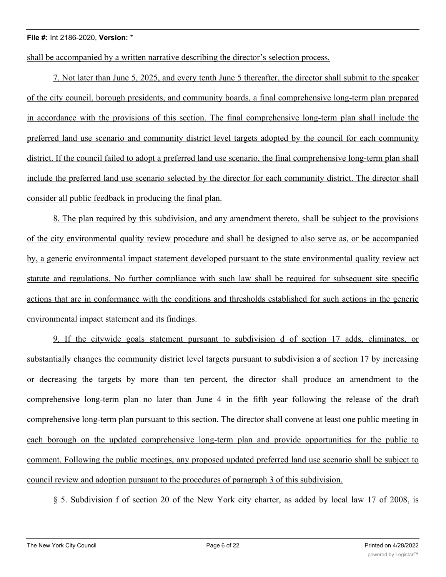shall be accompanied by a written narrative describing the director's selection process.

7. Not later than June 5, 2025, and every tenth June 5 thereafter, the director shall submit to the speaker of the city council, borough presidents, and community boards, a final comprehensive long-term plan prepared in accordance with the provisions of this section. The final comprehensive long-term plan shall include the preferred land use scenario and community district level targets adopted by the council for each community district. If the council failed to adopt a preferred land use scenario, the final comprehensive long-term plan shall include the preferred land use scenario selected by the director for each community district. The director shall consider all public feedback in producing the final plan.

8. The plan required by this subdivision, and any amendment thereto, shall be subject to the provisions of the city environmental quality review procedure and shall be designed to also serve as, or be accompanied by, a generic environmental impact statement developed pursuant to the state environmental quality review act statute and regulations. No further compliance with such law shall be required for subsequent site specific actions that are in conformance with the conditions and thresholds established for such actions in the generic environmental impact statement and its findings.

9. If the citywide goals statement pursuant to subdivision d of section 17 adds, eliminates, or substantially changes the community district level targets pursuant to subdivision a of section 17 by increasing or decreasing the targets by more than ten percent, the director shall produce an amendment to the comprehensive long-term plan no later than June 4 in the fifth year following the release of the draft comprehensive long-term plan pursuant to this section. The director shall convene at least one public meeting in each borough on the updated comprehensive long-term plan and provide opportunities for the public to comment. Following the public meetings, any proposed updated preferred land use scenario shall be subject to council review and adoption pursuant to the procedures of paragraph 3 of this subdivision.

§ 5. Subdivision f of section 20 of the New York city charter, as added by local law 17 of 2008, is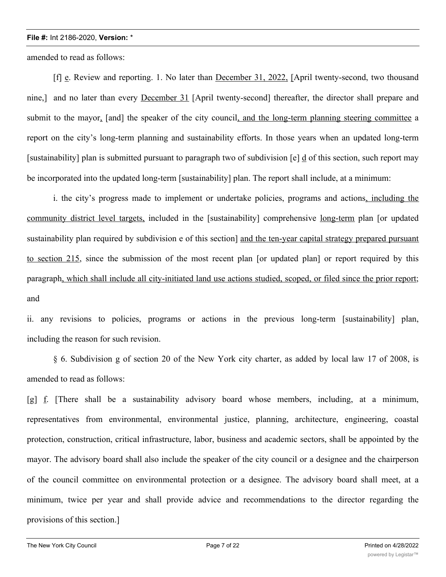amended to read as follows:

[f] e. Review and reporting. 1. No later than December 31, 2022, [April twenty-second, two thousand nine,] and no later than every December 31 [April twenty-second] thereafter, the director shall prepare and submit to the mayor, [and] the speaker of the city council, and the long-term planning steering committee a report on the city's long-term planning and sustainability efforts. In those years when an updated long-term [sustainability] plan is submitted pursuant to paragraph two of subdivision  $[e]$  d of this section, such report may be incorporated into the updated long-term [sustainability] plan. The report shall include, at a minimum:

i. the city's progress made to implement or undertake policies, programs and actions, including the community district level targets, included in the [sustainability] comprehensive long-term plan [or updated sustainability plan required by subdivision e of this section] and the ten-year capital strategy prepared pursuant to section 215, since the submission of the most recent plan [or updated plan] or report required by this paragraph, which shall include all city-initiated land use actions studied, scoped, or filed since the prior report; and

ii. any revisions to policies, programs or actions in the previous long-term [sustainability] plan, including the reason for such revision.

§ 6. Subdivision g of section 20 of the New York city charter, as added by local law 17 of 2008, is amended to read as follows:

[g] f. [There shall be a sustainability advisory board whose members, including, at a minimum, representatives from environmental, environmental justice, planning, architecture, engineering, coastal protection, construction, critical infrastructure, labor, business and academic sectors, shall be appointed by the mayor. The advisory board shall also include the speaker of the city council or a designee and the chairperson of the council committee on environmental protection or a designee. The advisory board shall meet, at a minimum, twice per year and shall provide advice and recommendations to the director regarding the provisions of this section.]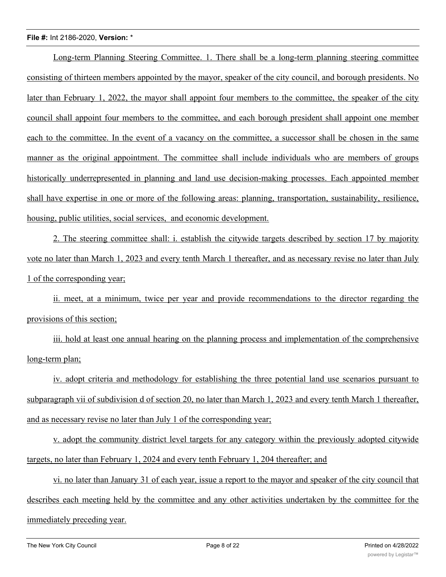Long-term Planning Steering Committee. 1. There shall be a long-term planning steering committee consisting of thirteen members appointed by the mayor, speaker of the city council, and borough presidents. No later than February 1, 2022, the mayor shall appoint four members to the committee, the speaker of the city council shall appoint four members to the committee, and each borough president shall appoint one member each to the committee. In the event of a vacancy on the committee, a successor shall be chosen in the same manner as the original appointment. The committee shall include individuals who are members of groups historically underrepresented in planning and land use decision-making processes. Each appointed member shall have expertise in one or more of the following areas: planning, transportation, sustainability, resilience, housing, public utilities, social services, and economic development.

2. The steering committee shall: i. establish the citywide targets described by section 17 by majority vote no later than March 1, 2023 and every tenth March 1 thereafter, and as necessary revise no later than July 1 of the corresponding year;

ii. meet, at a minimum, twice per year and provide recommendations to the director regarding the provisions of this section;

iii. hold at least one annual hearing on the planning process and implementation of the comprehensive long-term plan;

iv. adopt criteria and methodology for establishing the three potential land use scenarios pursuant to subparagraph vii of subdivision d of section 20, no later than March 1, 2023 and every tenth March 1 thereafter, and as necessary revise no later than July 1 of the corresponding year;

v. adopt the community district level targets for any category within the previously adopted citywide targets, no later than February 1, 2024 and every tenth February 1, 204 thereafter; and

vi. no later than January 31 of each year, issue a report to the mayor and speaker of the city council that describes each meeting held by the committee and any other activities undertaken by the committee for the immediately preceding year.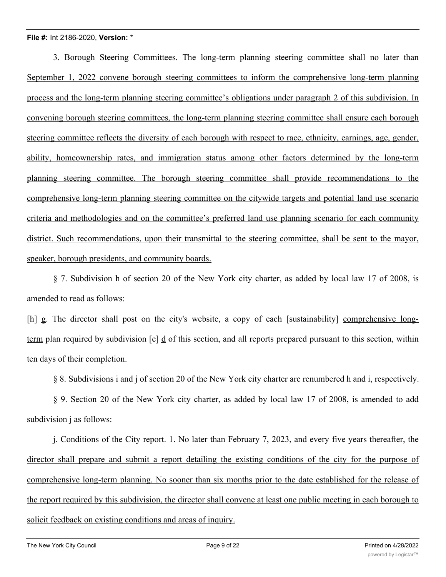3. Borough Steering Committees. The long-term planning steering committee shall no later than September 1, 2022 convene borough steering committees to inform the comprehensive long-term planning process and the long-term planning steering committee's obligations under paragraph 2 of this subdivision. In convening borough steering committees, the long-term planning steering committee shall ensure each borough steering committee reflects the diversity of each borough with respect to race, ethnicity, earnings, age, gender, ability, homeownership rates, and immigration status among other factors determined by the long-term planning steering committee. The borough steering committee shall provide recommendations to the comprehensive long-term planning steering committee on the citywide targets and potential land use scenario criteria and methodologies and on the committee's preferred land use planning scenario for each community district. Such recommendations, upon their transmittal to the steering committee, shall be sent to the mayor, speaker, borough presidents, and community boards.

§ 7. Subdivision h of section 20 of the New York city charter, as added by local law 17 of 2008, is amended to read as follows:

[h] g. The director shall post on the city's website, a copy of each [sustainability] comprehensive longterm plan required by subdivision [e] d of this section, and all reports prepared pursuant to this section, within ten days of their completion.

§ 8. Subdivisions i and j of section 20 of the New York city charter are renumbered h and i, respectively.

§ 9. Section 20 of the New York city charter, as added by local law 17 of 2008, is amended to add subdivision j as follows:

j. Conditions of the City report. 1. No later than February 7, 2023, and every five years thereafter, the director shall prepare and submit a report detailing the existing conditions of the city for the purpose of comprehensive long-term planning. No sooner than six months prior to the date established for the release of the report required by this subdivision, the director shall convene at least one public meeting in each borough to solicit feedback on existing conditions and areas of inquiry.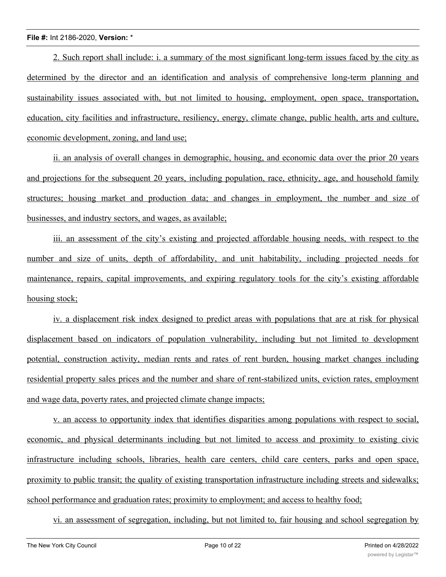2. Such report shall include: i. a summary of the most significant long-term issues faced by the city as determined by the director and an identification and analysis of comprehensive long-term planning and sustainability issues associated with, but not limited to housing, employment, open space, transportation, education, city facilities and infrastructure, resiliency, energy, climate change, public health, arts and culture, economic development, zoning, and land use;

ii. an analysis of overall changes in demographic, housing, and economic data over the prior 20 years and projections for the subsequent 20 years, including population, race, ethnicity, age, and household family structures; housing market and production data; and changes in employment, the number and size of businesses, and industry sectors, and wages, as available;

iii. an assessment of the city's existing and projected affordable housing needs, with respect to the number and size of units, depth of affordability, and unit habitability, including projected needs for maintenance, repairs, capital improvements, and expiring regulatory tools for the city's existing affordable housing stock;

iv. a displacement risk index designed to predict areas with populations that are at risk for physical displacement based on indicators of population vulnerability, including but not limited to development potential, construction activity, median rents and rates of rent burden, housing market changes including residential property sales prices and the number and share of rent-stabilized units, eviction rates, employment and wage data, poverty rates, and projected climate change impacts;

v. an access to opportunity index that identifies disparities among populations with respect to social, economic, and physical determinants including but not limited to access and proximity to existing civic infrastructure including schools, libraries, health care centers, child care centers, parks and open space, proximity to public transit; the quality of existing transportation infrastructure including streets and sidewalks; school performance and graduation rates; proximity to employment; and access to healthy food;

vi. an assessment of segregation, including, but not limited to, fair housing and school segregation by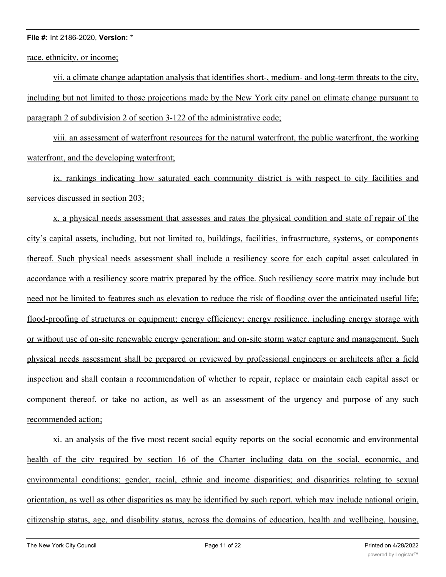race, ethnicity, or income;

vii. a climate change adaptation analysis that identifies short-, medium- and long-term threats to the city, including but not limited to those projections made by the New York city panel on climate change pursuant to paragraph 2 of subdivision 2 of section 3-122 of the administrative code;

viii. an assessment of waterfront resources for the natural waterfront, the public waterfront, the working waterfront, and the developing waterfront;

ix. rankings indicating how saturated each community district is with respect to city facilities and services discussed in section 203;

x. a physical needs assessment that assesses and rates the physical condition and state of repair of the city's capital assets, including, but not limited to, buildings, facilities, infrastructure, systems, or components thereof. Such physical needs assessment shall include a resiliency score for each capital asset calculated in accordance with a resiliency score matrix prepared by the office. Such resiliency score matrix may include but need not be limited to features such as elevation to reduce the risk of flooding over the anticipated useful life; flood-proofing of structures or equipment; energy efficiency; energy resilience, including energy storage with or without use of on-site renewable energy generation; and on-site storm water capture and management. Such physical needs assessment shall be prepared or reviewed by professional engineers or architects after a field inspection and shall contain a recommendation of whether to repair, replace or maintain each capital asset or component thereof, or take no action, as well as an assessment of the urgency and purpose of any such recommended action;

xi. an analysis of the five most recent social equity reports on the social economic and environmental health of the city required by section 16 of the Charter including data on the social, economic, and environmental conditions; gender, racial, ethnic and income disparities; and disparities relating to sexual orientation, as well as other disparities as may be identified by such report, which may include national origin, citizenship status, age, and disability status, across the domains of education, health and wellbeing, housing,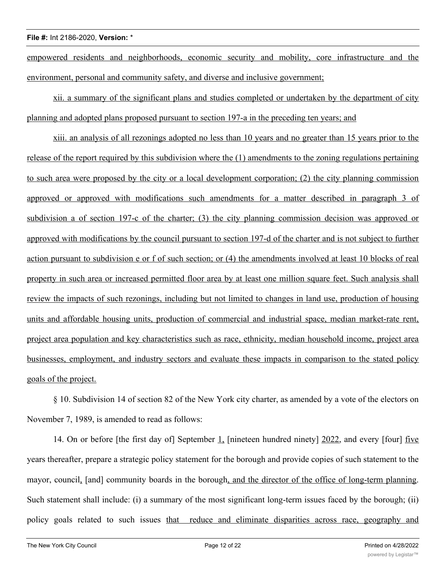empowered residents and neighborhoods, economic security and mobility, core infrastructure and the environment, personal and community safety, and diverse and inclusive government;

xii. a summary of the significant plans and studies completed or undertaken by the department of city planning and adopted plans proposed pursuant to section 197-a in the preceding ten years; and

xiii. an analysis of all rezonings adopted no less than 10 years and no greater than 15 years prior to the release of the report required by this subdivision where the (1) amendments to the zoning regulations pertaining to such area were proposed by the city or a local development corporation; (2) the city planning commission approved or approved with modifications such amendments for a matter described in paragraph 3 of subdivision a of section 197-c of the charter; (3) the city planning commission decision was approved or approved with modifications by the council pursuant to section 197-d of the charter and is not subject to further action pursuant to subdivision e or f of such section; or (4) the amendments involved at least 10 blocks of real property in such area or increased permitted floor area by at least one million square feet. Such analysis shall review the impacts of such rezonings, including but not limited to changes in land use, production of housing units and affordable housing units, production of commercial and industrial space, median market-rate rent, project area population and key characteristics such as race, ethnicity, median household income, project area businesses, employment, and industry sectors and evaluate these impacts in comparison to the stated policy goals of the project.

§ 10. Subdivision 14 of section 82 of the New York city charter, as amended by a vote of the electors on November 7, 1989, is amended to read as follows:

14. On or before [the first day of] September 1, [nineteen hundred ninety] 2022, and every [four] five years thereafter, prepare a strategic policy statement for the borough and provide copies of such statement to the mayor, council, [and] community boards in the borough, and the director of the office of long-term planning. Such statement shall include: (i) a summary of the most significant long-term issues faced by the borough; (ii) policy goals related to such issues that reduce and eliminate disparities across race, geography and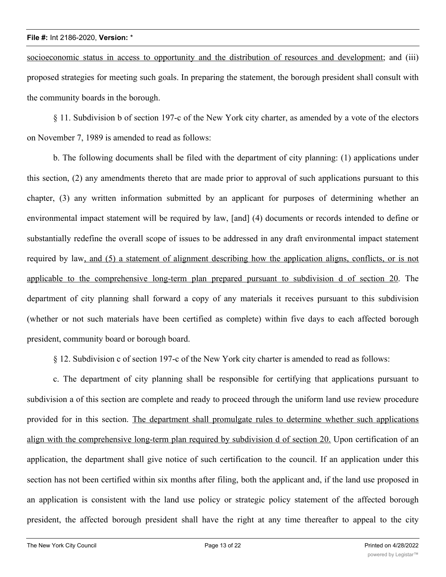socioeconomic status in access to opportunity and the distribution of resources and development; and (iii) proposed strategies for meeting such goals. In preparing the statement, the borough president shall consult with the community boards in the borough.

§ 11. Subdivision b of section 197-c of the New York city charter, as amended by a vote of the electors on November 7, 1989 is amended to read as follows:

b. The following documents shall be filed with the department of city planning: (1) applications under this section, (2) any amendments thereto that are made prior to approval of such applications pursuant to this chapter, (3) any written information submitted by an applicant for purposes of determining whether an environmental impact statement will be required by law, [and] (4) documents or records intended to define or substantially redefine the overall scope of issues to be addressed in any draft environmental impact statement required by law, and (5) a statement of alignment describing how the application aligns, conflicts, or is not applicable to the comprehensive long-term plan prepared pursuant to subdivision d of section 20. The department of city planning shall forward a copy of any materials it receives pursuant to this subdivision (whether or not such materials have been certified as complete) within five days to each affected borough president, community board or borough board.

§ 12. Subdivision c of section 197-c of the New York city charter is amended to read as follows:

c. The department of city planning shall be responsible for certifying that applications pursuant to subdivision a of this section are complete and ready to proceed through the uniform land use review procedure provided for in this section. The department shall promulgate rules to determine whether such applications align with the comprehensive long-term plan required by subdivision d of section 20. Upon certification of an application, the department shall give notice of such certification to the council. If an application under this section has not been certified within six months after filing, both the applicant and, if the land use proposed in an application is consistent with the land use policy or strategic policy statement of the affected borough president, the affected borough president shall have the right at any time thereafter to appeal to the city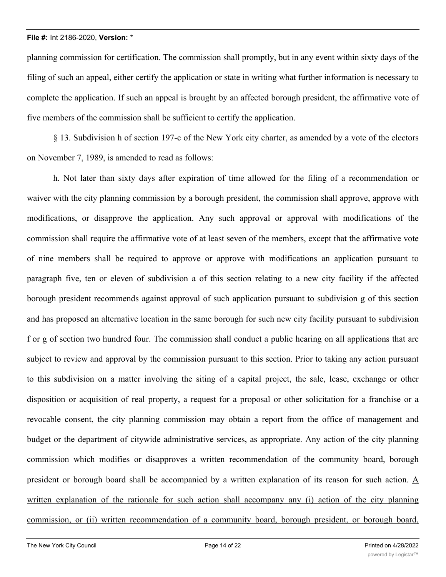planning commission for certification. The commission shall promptly, but in any event within sixty days of the filing of such an appeal, either certify the application or state in writing what further information is necessary to complete the application. If such an appeal is brought by an affected borough president, the affirmative vote of five members of the commission shall be sufficient to certify the application.

§ 13. Subdivision h of section 197-c of the New York city charter, as amended by a vote of the electors on November 7, 1989, is amended to read as follows:

h. Not later than sixty days after expiration of time allowed for the filing of a recommendation or waiver with the city planning commission by a borough president, the commission shall approve, approve with modifications, or disapprove the application. Any such approval or approval with modifications of the commission shall require the affirmative vote of at least seven of the members, except that the affirmative vote of nine members shall be required to approve or approve with modifications an application pursuant to paragraph five, ten or eleven of subdivision a of this section relating to a new city facility if the affected borough president recommends against approval of such application pursuant to subdivision g of this section and has proposed an alternative location in the same borough for such new city facility pursuant to subdivision f or g of section two hundred four. The commission shall conduct a public hearing on all applications that are subject to review and approval by the commission pursuant to this section. Prior to taking any action pursuant to this subdivision on a matter involving the siting of a capital project, the sale, lease, exchange or other disposition or acquisition of real property, a request for a proposal or other solicitation for a franchise or a revocable consent, the city planning commission may obtain a report from the office of management and budget or the department of citywide administrative services, as appropriate. Any action of the city planning commission which modifies or disapproves a written recommendation of the community board, borough president or borough board shall be accompanied by a written explanation of its reason for such action.  $\underline{A}$ written explanation of the rationale for such action shall accompany any (i) action of the city planning commission, or (ii) written recommendation of a community board, borough president, or borough board,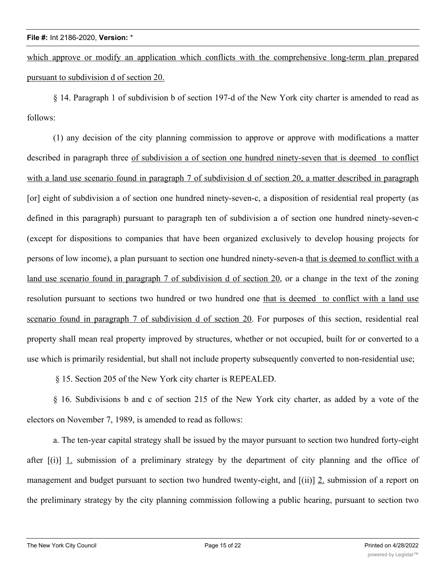which approve or modify an application which conflicts with the comprehensive long-term plan prepared pursuant to subdivision d of section 20.

§ 14. Paragraph 1 of subdivision b of section 197-d of the New York city charter is amended to read as follows:

(1) any decision of the city planning commission to approve or approve with modifications a matter described in paragraph three of subdivision a of section one hundred ninety-seven that is deemed to conflict with a land use scenario found in paragraph 7 of subdivision d of section 20, a matter described in paragraph [or] eight of subdivision a of section one hundred ninety-seven-c, a disposition of residential real property (as defined in this paragraph) pursuant to paragraph ten of subdivision a of section one hundred ninety-seven-c (except for dispositions to companies that have been organized exclusively to develop housing projects for persons of low income), a plan pursuant to section one hundred ninety-seven-a that is deemed to conflict with a land use scenario found in paragraph 7 of subdivision d of section 20, or a change in the text of the zoning resolution pursuant to sections two hundred or two hundred one that is deemed to conflict with a land use scenario found in paragraph 7 of subdivision d of section 20. For purposes of this section, residential real property shall mean real property improved by structures, whether or not occupied, built for or converted to a use which is primarily residential, but shall not include property subsequently converted to non-residential use;

§ 15. Section 205 of the New York city charter is REPEALED.

§ 16. Subdivisions b and c of section 215 of the New York city charter, as added by a vote of the electors on November 7, 1989, is amended to read as follows:

a. The ten-year capital strategy shall be issued by the mayor pursuant to section two hundred forty-eight after  $[(i)]$  1. submission of a preliminary strategy by the department of city planning and the office of management and budget pursuant to section two hundred twenty-eight, and [(ii)] 2. submission of a report on the preliminary strategy by the city planning commission following a public hearing, pursuant to section two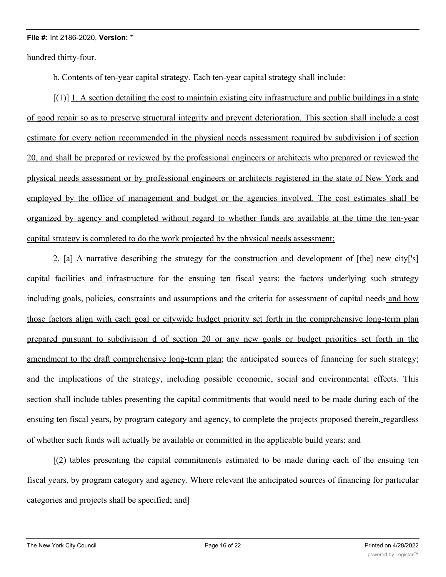hundred thirty-four.

b. Contents of ten-year capital strategy*.* Each ten-year capital strategy shall include:

[(1)] 1. A section detailing the cost to maintain existing city infrastructure and public buildings in a state of good repair so as to preserve structural integrity and prevent deterioration. This section shall include a cost estimate for every action recommended in the physical needs assessment required by subdivision j of section 20, and shall be prepared or reviewed by the professional engineers or architects who prepared or reviewed the physical needs assessment or by professional engineers or architects registered in the state of New York and employed by the office of management and budget or the agencies involved. The cost estimates shall be organized by agency and completed without regard to whether funds are available at the time the ten-year capital strategy is completed to do the work projected by the physical needs assessment;

2. [a] A narrative describing the strategy for the construction and development of [the] new city['s] capital facilities and infrastructure for the ensuing ten fiscal years; the factors underlying such strategy including goals, policies, constraints and assumptions and the criteria for assessment of capital needs and how those factors align with each goal or citywide budget priority set forth in the comprehensive long-term plan prepared pursuant to subdivision d of section 20 or any new goals or budget priorities set forth in the amendment to the draft comprehensive long-term plan; the anticipated sources of financing for such strategy; and the implications of the strategy, including possible economic, social and environmental effects. This section shall include tables presenting the capital commitments that would need to be made during each of the ensuing ten fiscal years, by program category and agency, to complete the projects proposed therein, regardless of whether such funds will actually be available or committed in the applicable build years; and

[(2) tables presenting the capital commitments estimated to be made during each of the ensuing ten fiscal years, by program category and agency. Where relevant the anticipated sources of financing for particular categories and projects shall be specified; and]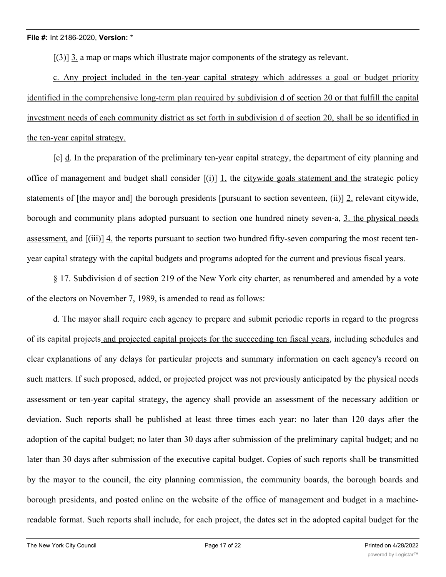[(3)] 3. a map or maps which illustrate major components of the strategy as relevant.

c. Any project included in the ten-year capital strategy which addresses a goal or budget priority identified in the comprehensive long-term plan required by subdivision d of section 20 or that fulfill the capital investment needs of each community district as set forth in subdivision d of section 20, shall be so identified in the ten-year capital strategy.

[c] d. In the preparation of the preliminary ten-year capital strategy, the department of city planning and office of management and budget shall consider [(i)] 1. the citywide goals statement and the strategic policy statements of [the mayor and] the borough presidents [pursuant to section seventeen, (ii)] 2. relevant citywide, borough and community plans adopted pursuant to section one hundred ninety seven-a, 3. the physical needs assessment, and [(iii)] 4. the reports pursuant to section two hundred fifty-seven comparing the most recent tenyear capital strategy with the capital budgets and programs adopted for the current and previous fiscal years.

§ 17. Subdivision d of section 219 of the New York city charter, as renumbered and amended by a vote of the electors on November 7, 1989, is amended to read as follows:

d. The mayor shall require each agency to prepare and submit periodic reports in regard to the progress of its capital projects and projected capital projects for the succeeding ten fiscal years, including schedules and clear explanations of any delays for particular projects and summary information on each agency's record on such matters. If such proposed, added, or projected project was not previously anticipated by the physical needs assessment or ten-year capital strategy, the agency shall provide an assessment of the necessary addition or deviation. Such reports shall be published at least three times each year: no later than 120 days after the adoption of the capital budget; no later than 30 days after submission of the preliminary capital budget; and no later than 30 days after submission of the executive capital budget. Copies of such reports shall be transmitted by the mayor to the council, the city planning commission, the community boards, the borough boards and borough presidents, and posted online on the website of the office of management and budget in a machinereadable format. Such reports shall include, for each project, the dates set in the adopted capital budget for the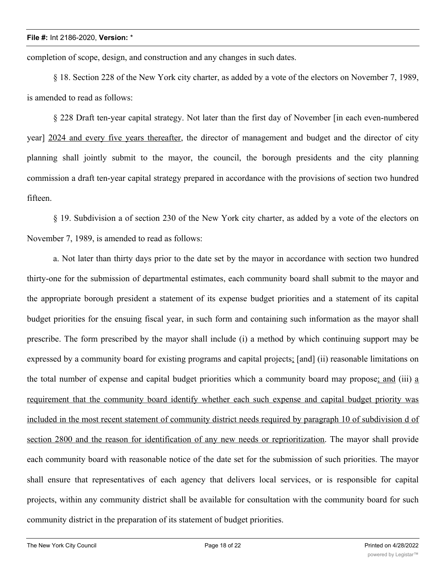completion of scope, design, and construction and any changes in such dates.

§ 18. Section 228 of the New York city charter, as added by a vote of the electors on November 7, 1989, is amended to read as follows:

§ 228 Draft ten-year capital strategy. Not later than the first day of November [in each even-numbered year] 2024 and every five years thereafter, the director of management and budget and the director of city planning shall jointly submit to the mayor, the council, the borough presidents and the city planning commission a draft ten-year capital strategy prepared in accordance with the provisions of section two hundred fifteen.

§ 19. Subdivision a of section 230 of the New York city charter, as added by a vote of the electors on November 7, 1989, is amended to read as follows:

a. Not later than thirty days prior to the date set by the mayor in accordance with section two hundred thirty-one for the submission of departmental estimates, each community board shall submit to the mayor and the appropriate borough president a statement of its expense budget priorities and a statement of its capital budget priorities for the ensuing fiscal year, in such form and containing such information as the mayor shall prescribe. The form prescribed by the mayor shall include (i) a method by which continuing support may be expressed by a community board for existing programs and capital projects; [and] (ii) reasonable limitations on the total number of expense and capital budget priorities which a community board may propose; and (iii) a requirement that the community board identify whether each such expense and capital budget priority was included in the most recent statement of community district needs required by paragraph 10 of subdivision d of section 2800 and the reason for identification of any new needs or reprioritization. The mayor shall provide each community board with reasonable notice of the date set for the submission of such priorities. The mayor shall ensure that representatives of each agency that delivers local services, or is responsible for capital projects, within any community district shall be available for consultation with the community board for such community district in the preparation of its statement of budget priorities.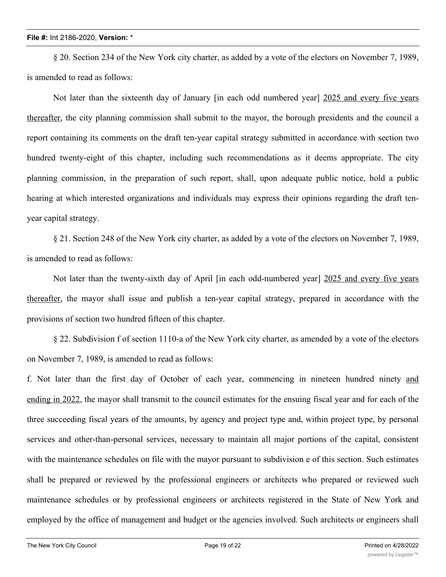§ 20. Section 234 of the New York city charter, as added by a vote of the electors on November 7, 1989, is amended to read as follows:

Not later than the sixteenth day of January [in each odd numbered year] 2025 and every five years thereafter, the city planning commission shall submit to the mayor, the borough presidents and the council a report containing its comments on the draft ten-year capital strategy submitted in accordance with section two hundred twenty-eight of this chapter, including such recommendations as it deems appropriate. The city planning commission, in the preparation of such report, shall, upon adequate public notice, hold a public hearing at which interested organizations and individuals may express their opinions regarding the draft tenyear capital strategy.

§ 21. Section 248 of the New York city charter, as added by a vote of the electors on November 7, 1989, is amended to read as follows:

Not later than the twenty-sixth day of April [in each odd-numbered year] 2025 and every five years thereafter, the mayor shall issue and publish a ten-year capital strategy, prepared in accordance with the provisions of section two hundred fifteen of this chapter.

§ 22. Subdivision f of section 1110-a of the New York city charter, as amended by a vote of the electors on November 7, 1989, is amended to read as follows:

f. Not later than the first day of October of each year, commencing in nineteen hundred ninety and ending in 2022, the mayor shall transmit to the council estimates for the ensuing fiscal year and for each of the three succeeding fiscal years of the amounts, by agency and project type and, within project type, by personal services and other-than-personal services, necessary to maintain all major portions of the capital, consistent with the maintenance schedules on file with the mayor pursuant to subdivision e of this section. Such estimates shall be prepared or reviewed by the professional engineers or architects who prepared or reviewed such maintenance schedules or by professional engineers or architects registered in the State of New York and employed by the office of management and budget or the agencies involved. Such architects or engineers shall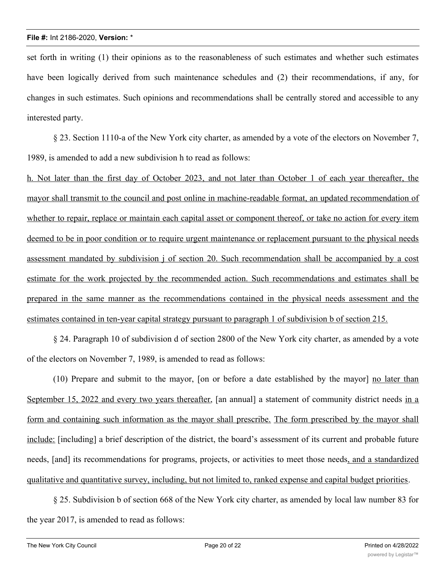set forth in writing (1) their opinions as to the reasonableness of such estimates and whether such estimates have been logically derived from such maintenance schedules and (2) their recommendations, if any, for changes in such estimates. Such opinions and recommendations shall be centrally stored and accessible to any interested party.

§ 23. Section 1110-a of the New York city charter, as amended by a vote of the electors on November 7, 1989, is amended to add a new subdivision h to read as follows:

h. Not later than the first day of October 2023, and not later than October 1 of each year thereafter, the mayor shall transmit to the council and post online in machine-readable format, an updated recommendation of whether to repair, replace or maintain each capital asset or component thereof, or take no action for every item deemed to be in poor condition or to require urgent maintenance or replacement pursuant to the physical needs assessment mandated by subdivision j of section 20. Such recommendation shall be accompanied by a cost estimate for the work projected by the recommended action. Such recommendations and estimates shall be prepared in the same manner as the recommendations contained in the physical needs assessment and the estimates contained in ten-year capital strategy pursuant to paragraph 1 of subdivision b of section 215.

§ 24. Paragraph 10 of subdivision d of section 2800 of the New York city charter, as amended by a vote of the electors on November 7, 1989, is amended to read as follows:

(10) Prepare and submit to the mayor, [on or before a date established by the mayor] no later than September 15, 2022 and every two years thereafter, [an annual] a statement of community district needs in a form and containing such information as the mayor shall prescribe. The form prescribed by the mayor shall include: [including] a brief description of the district, the board's assessment of its current and probable future needs, [and] its recommendations for programs, projects, or activities to meet those needs, and a standardized qualitative and quantitative survey, including, but not limited to, ranked expense and capital budget priorities.

§ 25. Subdivision b of section 668 of the New York city charter, as amended by local law number 83 for the year 2017, is amended to read as follows: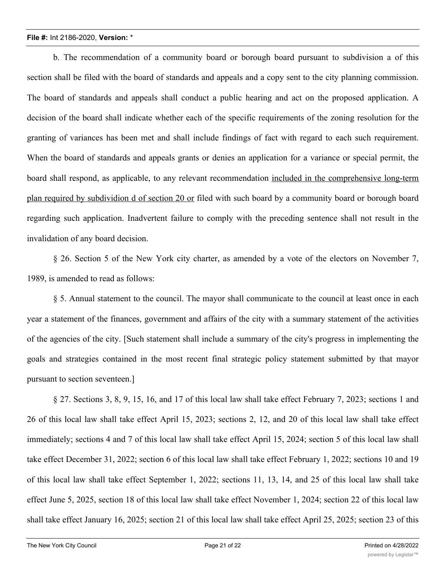b. The recommendation of a community board or borough board pursuant to subdivision a of this section shall be filed with the board of standards and appeals and a copy sent to the city planning commission. The board of standards and appeals shall conduct a public hearing and act on the proposed application. A decision of the board shall indicate whether each of the specific requirements of the zoning resolution for the granting of variances has been met and shall include findings of fact with regard to each such requirement. When the board of standards and appeals grants or denies an application for a variance or special permit, the board shall respond, as applicable, to any relevant recommendation included in the comprehensive long-term plan required by subdividion d of section 20 or filed with such board by a community board or borough board regarding such application. Inadvertent failure to comply with the preceding sentence shall not result in the invalidation of any board decision.

§ 26. Section 5 of the New York city charter, as amended by a vote of the electors on November 7, 1989, is amended to read as follows:

§ 5. Annual statement to the council. The mayor shall communicate to the council at least once in each year a statement of the finances, government and affairs of the city with a summary statement of the activities of the agencies of the city. [Such statement shall include a summary of the city's progress in implementing the goals and strategies contained in the most recent final strategic policy statement submitted by that mayor pursuant to section seventeen.]

§ 27. Sections 3, 8, 9, 15, 16, and 17 of this local law shall take effect February 7, 2023; sections 1 and 26 of this local law shall take effect April 15, 2023; sections 2, 12, and 20 of this local law shall take effect immediately; sections 4 and 7 of this local law shall take effect April 15, 2024; section 5 of this local law shall take effect December 31, 2022; section 6 of this local law shall take effect February 1, 2022; sections 10 and 19 of this local law shall take effect September 1, 2022; sections 11, 13, 14, and 25 of this local law shall take effect June 5, 2025, section 18 of this local law shall take effect November 1, 2024; section 22 of this local law shall take effect January 16, 2025; section 21 of this local law shall take effect April 25, 2025; section 23 of this